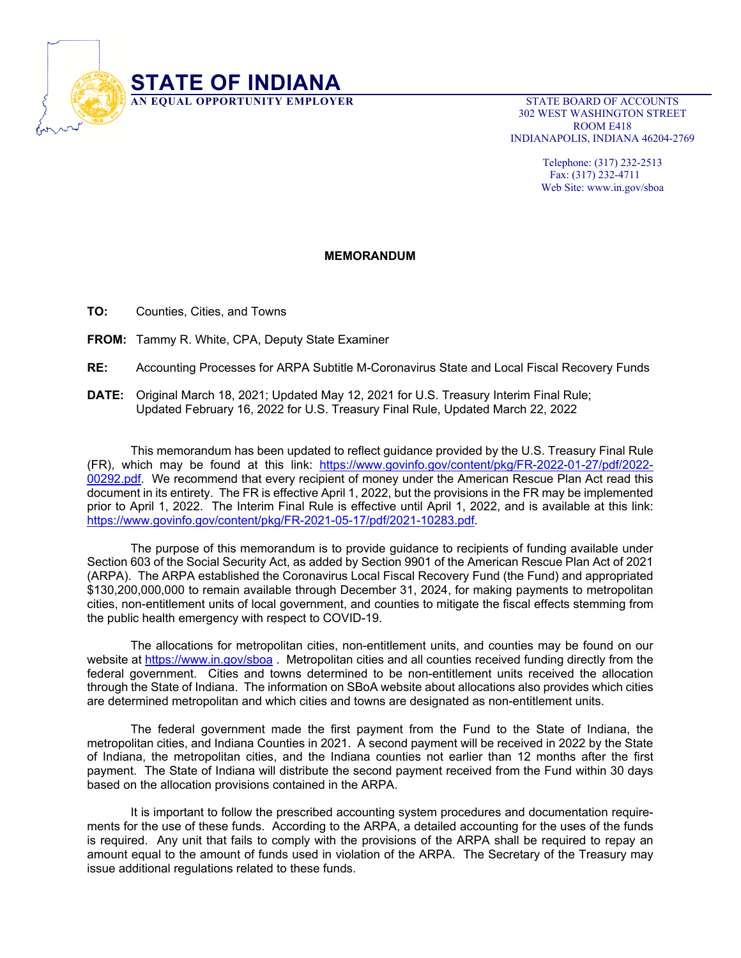

 302 WEST WASHINGTON STREET ROOM E418 INDIANAPOLIS, INDIANA 46204-2769

> Telephone: (317) 232-2513 Fax: (317) 232-4711 Web Site: www.in.gov/sboa

## **MEMORANDUM**

**TO:** Counties, Cities, and Towns

**FROM:** Tammy R. White, CPA, Deputy State Examiner

**RE:** Accounting Processes for ARPA Subtitle M-Coronavirus State and Local Fiscal Recovery Funds

**DATE:** Original March 18, 2021; Updated May 12, 2021 for U.S. Treasury Interim Final Rule; Updated February 16, 2022 for U.S. Treasury Final Rule, Updated March 22, 2022

 This memorandum has been updated to reflect guidance provided by the U.S. Treasury Final Rule (FR), which may be found at this link: https://www.govinfo.gov/content/pkg/FR-2022-01-27/pdf/2022- 00292.pdf. We recommend that every recipient of money under the American Rescue Plan Act read this document in its entirety. The FR is effective April 1, 2022, but the provisions in the FR may be implemented prior to April 1, 2022. The Interim Final Rule is effective until April 1, 2022, and is available at this link: https://www.govinfo.gov/content/pkg/FR-2021-05-17/pdf/2021-10283.pdf.

 The purpose of this memorandum is to provide guidance to recipients of funding available under Section 603 of the Social Security Act, as added by Section 9901 of the American Rescue Plan Act of 2021 (ARPA). The ARPA established the Coronavirus Local Fiscal Recovery Fund (the Fund) and appropriated \$130,200,000,000 to remain available through December 31, 2024, for making payments to metropolitan cities, non-entitlement units of local government, and counties to mitigate the fiscal effects stemming from the public health emergency with respect to COVID-19.

The allocations for metropolitan cities, non-entitlement units, and counties may be found on our website at https://www.in.gov/sboa. Metropolitan cities and all counties received funding directly from the federal government. Cities and towns determined to be non-entitlement units received the allocation through the State of Indiana. The information on SBoA website about allocations also provides which cities are determined metropolitan and which cities and towns are designated as non-entitlement units.

The federal government made the first payment from the Fund to the State of Indiana, the metropolitan cities, and Indiana Counties in 2021. A second payment will be received in 2022 by the State of Indiana, the metropolitan cities, and the Indiana counties not earlier than 12 months after the first payment. The State of Indiana will distribute the second payment received from the Fund within 30 days based on the allocation provisions contained in the ARPA.

It is important to follow the prescribed accounting system procedures and documentation requirements for the use of these funds. According to the ARPA, a detailed accounting for the uses of the funds is required. Any unit that fails to comply with the provisions of the ARPA shall be required to repay an amount equal to the amount of funds used in violation of the ARPA. The Secretary of the Treasury may issue additional regulations related to these funds.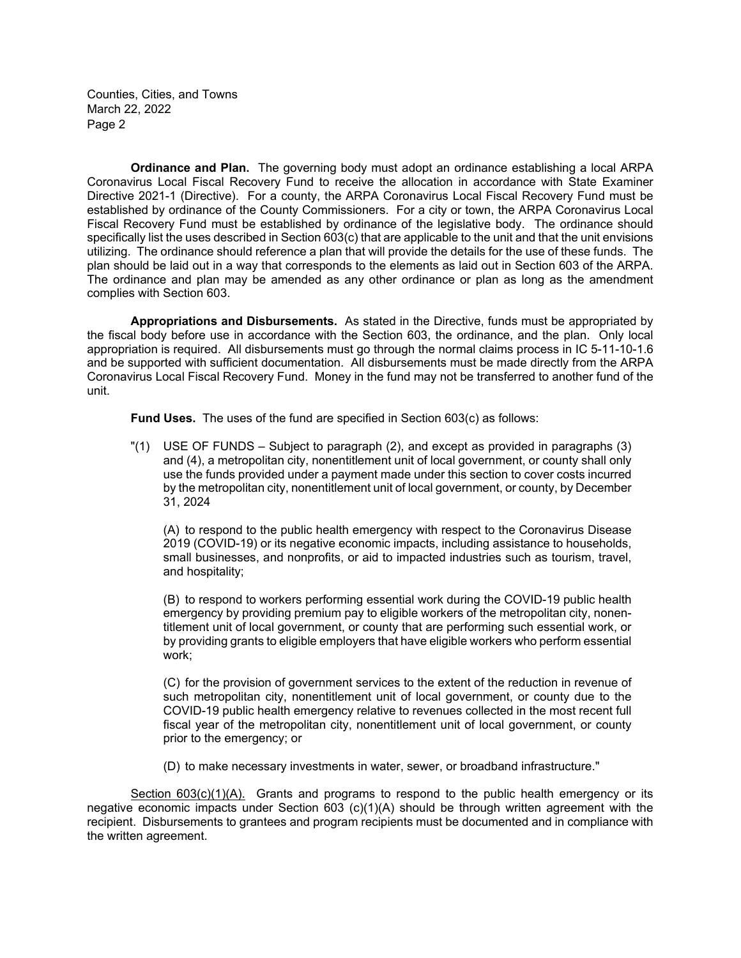**Ordinance and Plan.** The governing body must adopt an ordinance establishing a local ARPA Coronavirus Local Fiscal Recovery Fund to receive the allocation in accordance with State Examiner Directive 2021-1 (Directive). For a county, the ARPA Coronavirus Local Fiscal Recovery Fund must be established by ordinance of the County Commissioners. For a city or town, the ARPA Coronavirus Local Fiscal Recovery Fund must be established by ordinance of the legislative body. The ordinance should specifically list the uses described in Section 603(c) that are applicable to the unit and that the unit envisions utilizing. The ordinance should reference a plan that will provide the details for the use of these funds. The plan should be laid out in a way that corresponds to the elements as laid out in Section 603 of the ARPA. The ordinance and plan may be amended as any other ordinance or plan as long as the amendment complies with Section 603.

**Appropriations and Disbursements.** As stated in the Directive, funds must be appropriated by the fiscal body before use in accordance with the Section 603, the ordinance, and the plan. Only local appropriation is required. All disbursements must go through the normal claims process in IC 5-11-10-1.6 and be supported with sufficient documentation. All disbursements must be made directly from the ARPA Coronavirus Local Fiscal Recovery Fund. Money in the fund may not be transferred to another fund of the unit.

**Fund Uses.** The uses of the fund are specified in Section 603(c) as follows:

"(1) USE OF FUNDS – Subject to paragraph (2), and except as provided in paragraphs (3) and (4), a metropolitan city, nonentitlement unit of local government, or county shall only use the funds provided under a payment made under this section to cover costs incurred by the metropolitan city, nonentitlement unit of local government, or county, by December 31, 2024

(A) to respond to the public health emergency with respect to the Coronavirus Disease 2019 (COVID-19) or its negative economic impacts, including assistance to households, small businesses, and nonprofits, or aid to impacted industries such as tourism, travel, and hospitality;

(B) to respond to workers performing essential work during the COVID-19 public health emergency by providing premium pay to eligible workers of the metropolitan city, nonentitlement unit of local government, or county that are performing such essential work, or by providing grants to eligible employers that have eligible workers who perform essential work;

(C) for the provision of government services to the extent of the reduction in revenue of such metropolitan city, nonentitlement unit of local government, or county due to the COVID-19 public health emergency relative to revenues collected in the most recent full fiscal year of the metropolitan city, nonentitlement unit of local government, or county prior to the emergency; or

(D) to make necessary investments in water, sewer, or broadband infrastructure."

Section 603(c)(1)(A). Grants and programs to respond to the public health emergency or its negative economic impacts under Section 603 (c)(1)(A) should be through written agreement with the recipient. Disbursements to grantees and program recipients must be documented and in compliance with the written agreement.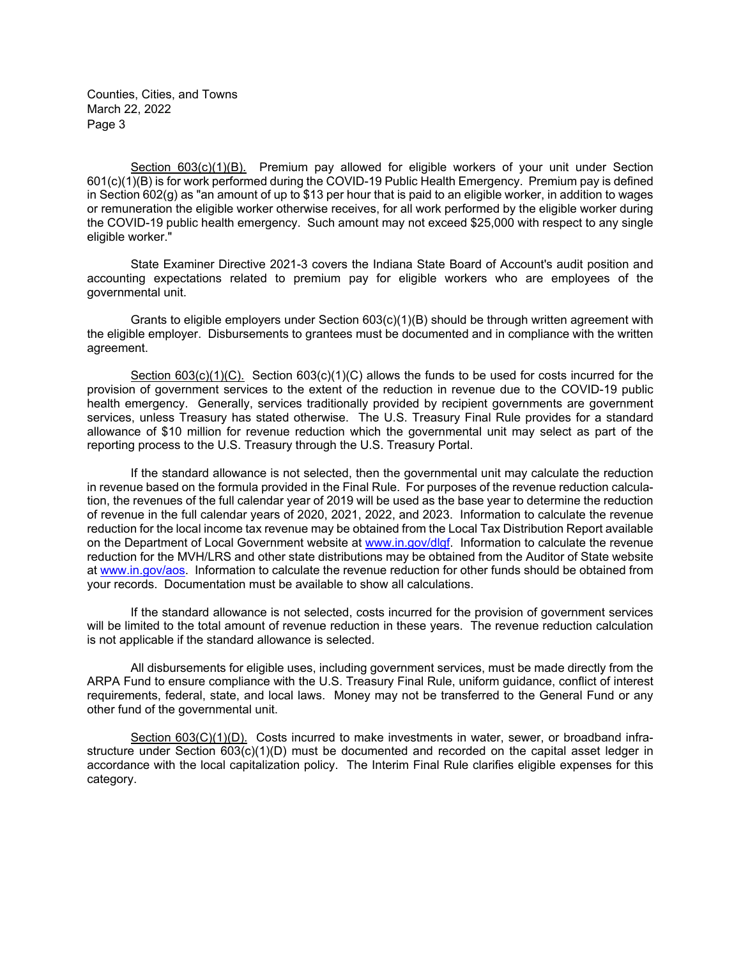Section 603(c)(1)(B). Premium pay allowed for eligible workers of your unit under Section 601(c)(1)(B) is for work performed during the COVID-19 Public Health Emergency. Premium pay is defined in Section 602(g) as "an amount of up to \$13 per hour that is paid to an eligible worker, in addition to wages or remuneration the eligible worker otherwise receives, for all work performed by the eligible worker during the COVID-19 public health emergency. Such amount may not exceed \$25,000 with respect to any single eligible worker."

State Examiner Directive 2021-3 covers the Indiana State Board of Account's audit position and accounting expectations related to premium pay for eligible workers who are employees of the governmental unit.

Grants to eligible employers under Section 603(c)(1)(B) should be through written agreement with the eligible employer. Disbursements to grantees must be documented and in compliance with the written agreement.

Section  $603(c)(1)(C)$ . Section  $603(c)(1)(C)$  allows the funds to be used for costs incurred for the provision of government services to the extent of the reduction in revenue due to the COVID-19 public health emergency. Generally, services traditionally provided by recipient governments are government services, unless Treasury has stated otherwise. The U.S. Treasury Final Rule provides for a standard allowance of \$10 million for revenue reduction which the governmental unit may select as part of the reporting process to the U.S. Treasury through the U.S. Treasury Portal.

If the standard allowance is not selected, then the governmental unit may calculate the reduction in revenue based on the formula provided in the Final Rule. For purposes of the revenue reduction calculation, the revenues of the full calendar year of 2019 will be used as the base year to determine the reduction of revenue in the full calendar years of 2020, 2021, 2022, and 2023. Information to calculate the revenue reduction for the local income tax revenue may be obtained from the Local Tax Distribution Report available on the Department of Local Government website at www.in.gov/dlgf. Information to calculate the revenue reduction for the MVH/LRS and other state distributions may be obtained from the Auditor of State website at www.in.gov/aos. Information to calculate the revenue reduction for other funds should be obtained from your records. Documentation must be available to show all calculations.

If the standard allowance is not selected, costs incurred for the provision of government services will be limited to the total amount of revenue reduction in these years. The revenue reduction calculation is not applicable if the standard allowance is selected.

All disbursements for eligible uses, including government services, must be made directly from the ARPA Fund to ensure compliance with the U.S. Treasury Final Rule, uniform guidance, conflict of interest requirements, federal, state, and local laws. Money may not be transferred to the General Fund or any other fund of the governmental unit.

Section 603(C)(1)(D). Costs incurred to make investments in water, sewer, or broadband infrastructure under Section 603(c)(1)(D) must be documented and recorded on the capital asset ledger in accordance with the local capitalization policy. The Interim Final Rule clarifies eligible expenses for this category.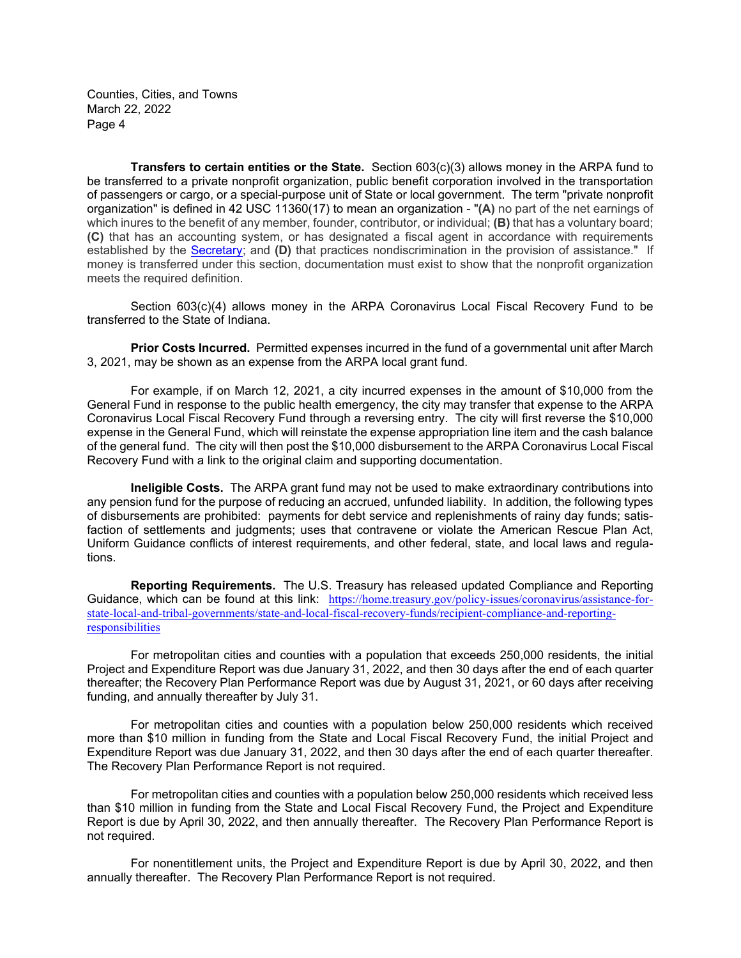**Transfers to certain entities or the State.** Section 603(c)(3) allows money in the ARPA fund to be transferred to a private nonprofit organization, public benefit corporation involved in the transportation of passengers or cargo, or a special-purpose unit of State or local government. The term "private nonprofit organization" is defined in 42 USC 11360(17) to mean an organization - "**(A)** no part of the net earnings of which inures to the benefit of any member, founder, contributor, or individual; **(B)** that has a voluntary board; **(C)** that has an accounting system, or has designated a fiscal agent in accordance with requirements established by the **Secretary**; and **(D)** that practices nondiscrimination in the provision of assistance." If money is transferred under this section, documentation must exist to show that the nonprofit organization meets the required definition.

Section 603(c)(4) allows money in the ARPA Coronavirus Local Fiscal Recovery Fund to be transferred to the State of Indiana.

**Prior Costs Incurred.** Permitted expenses incurred in the fund of a governmental unit after March 3, 2021, may be shown as an expense from the ARPA local grant fund.

For example, if on March 12, 2021, a city incurred expenses in the amount of \$10,000 from the General Fund in response to the public health emergency, the city may transfer that expense to the ARPA Coronavirus Local Fiscal Recovery Fund through a reversing entry. The city will first reverse the \$10,000 expense in the General Fund, which will reinstate the expense appropriation line item and the cash balance of the general fund. The city will then post the \$10,000 disbursement to the ARPA Coronavirus Local Fiscal Recovery Fund with a link to the original claim and supporting documentation.

**Ineligible Costs.** The ARPA grant fund may not be used to make extraordinary contributions into any pension fund for the purpose of reducing an accrued, unfunded liability. In addition, the following types of disbursements are prohibited: payments for debt service and replenishments of rainy day funds; satisfaction of settlements and judgments; uses that contravene or violate the American Rescue Plan Act, Uniform Guidance conflicts of interest requirements, and other federal, state, and local laws and regulations.

**Reporting Requirements.** The U.S. Treasury has released updated Compliance and Reporting Guidance, which can be found at this link: https://home.treasury.gov/policy-issues/coronavirus/assistance-forstate-local-and-tribal-governments/state-and-local-fiscal-recovery-funds/recipient-compliance-and-reportingresponsibilities

For metropolitan cities and counties with a population that exceeds 250,000 residents, the initial Project and Expenditure Report was due January 31, 2022, and then 30 days after the end of each quarter thereafter; the Recovery Plan Performance Report was due by August 31, 2021, or 60 days after receiving funding, and annually thereafter by July 31.

For metropolitan cities and counties with a population below 250,000 residents which received more than \$10 million in funding from the State and Local Fiscal Recovery Fund, the initial Project and Expenditure Report was due January 31, 2022, and then 30 days after the end of each quarter thereafter. The Recovery Plan Performance Report is not required.

For metropolitan cities and counties with a population below 250,000 residents which received less than \$10 million in funding from the State and Local Fiscal Recovery Fund, the Project and Expenditure Report is due by April 30, 2022, and then annually thereafter. The Recovery Plan Performance Report is not required.

For nonentitlement units, the Project and Expenditure Report is due by April 30, 2022, and then annually thereafter. The Recovery Plan Performance Report is not required.